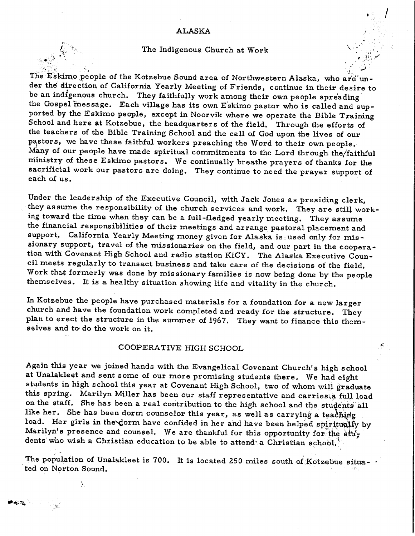## ALASKA

## The Indigenous Church at Work

*;\_!* \_, - -:-..~ ..... ,

' .

 $\overline{\phantom{a}}$ 

The Eskimo people of the Kotzebue Sound area of Northwestern Alaska, who are under the direction of California Yearly Meeting of Friends, continue in their desire to be an indigenous church. They faithfully work among their own people spreading the Gospel message. Each village has its own Eskimo pastor who is called and supported by the Eskimo people, except in Noorvik where we operate the Bible Training School and here at Kotzebue, the headquarters of the field, Through the efforts of the teachers of the Bible Training School and the call of God upon the lives of our pastors, we have these faithful workers preaching the Word to their own people. Many of our people have made spiritual commitments to the Lord through the/faithful ministry of these Eskimo pastors. We continually breathe prayers of thanks for the sacrificial work our pastors are doing. They continue to need the prayer support of each of us.

Under the leadership of the Executive Council, with Jack Jones as presiding clerk, they assume the responsibility of the church services and work. They are still working toward the time when they can be a full-fledged yearly meeting. They assume the financial responsibilities of their meetings and arrange pastoral placement and support. California Yearly Meeting money given for Alaska is, used only for missionary support, travel of the missionaries on the field, and our part in the cooperation with Covenant High School and radio station KICY. The Alaska Executive Council meets regularly to transact business and take care of the decisions of the field, Work that formerly was done by missionary families is now being done by the people themselves. It is a healthy situation showing life and vitality in the church.

In Kotzebue the people have purchased materials for a foundation for a new larger church and have the foundation work completed and ready for the structure. They <sup>p</sup>lan to erect the structure in the summer of 1967. They want to finance this themselves and to do the work on it.

## COOPERATIVE HIGH SCHOOL

Again this year we joined hands with the Evangelical Covenant Church's high school .at Unalakleet and sent some of our more promising students there. We had eight students in high school this year at Covenant High School, two of whom will graduate this spring. Marilyn Miller has been our staff representative and carries, a full load on the staff. She has been a real contribution to the high school and the students all like her. She has been dorm counselor this year, as well as carrying a teaching load. Her girls in the dorm have confided in her and have been helped spiritually by Marilyn's presence and counsel. We are thankful for this opportunity for the students who wish a Christian education to be able to attend<sup>®</sup> a Christian school.

The population of Unalakleet is 700. It is located 250 miles south of Kotzebue situa-. ted on Norton Sound.

'·